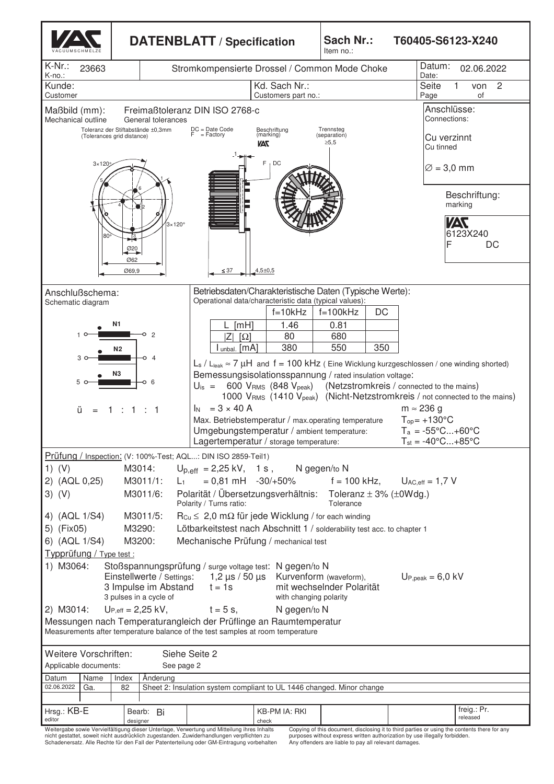